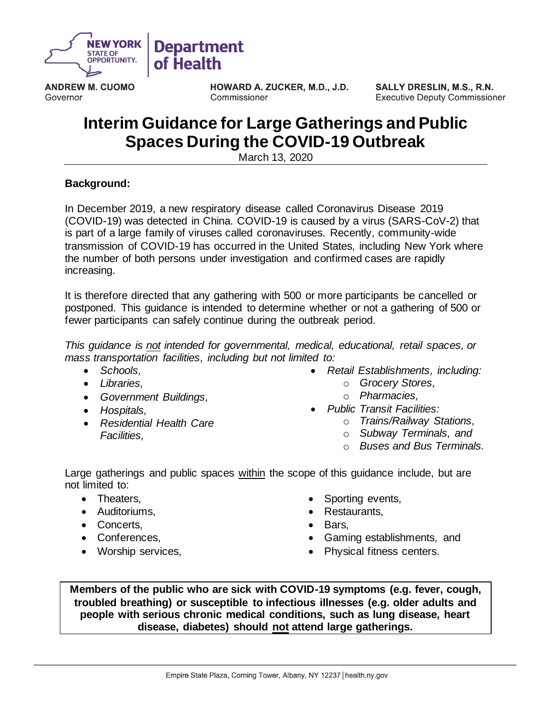

**ANDREW M. CUOMO** Governor

HOWARD A. ZUCKER, M.D., J.D. Commissioner

SALLY DRESLIN, M.S., R.N. **Executive Deputy Commissioner** 

# **Interim Guidance for Large Gatherings and Public Spaces During the COVID-19 Outbreak**

March 13, 2020

## **Background:**

In December 2019, a new respiratory disease called Coronavirus Disease 2019 (COVID-19) was detected in China. COVID-19 is caused by a virus (SARS-CoV-2) that is part of a large family of viruses called coronaviruses. Recently, community-wide transmission of COVID-19 has occurred in the United States, including New York where the number of both persons under investigation and confirmed cases are rapidly increasing.

It is therefore directed that any gathering with 500 or more participants be cancelled or postponed. This guidance is intended to determine whether or not a gathering of 500 or fewer participants can safely continue during the outbreak period.

*This guidance is not intended for governmental, medical, educational, retail spaces, or mass transportation facilities, including but not limited to:*

- *Schools,*
- *Libraries,*
- *Government Buildings,*
- *Hospitals,*
- *Residential Health Care Facilities,*
- *Retail Establishments, including:*
	- o *Grocery Stores,*
	- o *Pharmacies,*
- *Public Transit Facilities:*
	- o *Trains/Railway Stations,*
	- o *Subway Terminals, and*
	- o *Buses and Bus Terminals.*

Large gatherings and public spaces within the scope of this guidance include, but are not limited to:

- Theaters,
- Auditoriums,
- Concerts,
- Conferences,
- Worship services,
- Sporting events,
- Restaurants,
- Bars,
- Gaming establishments, and
- Physical fitness centers.

**Members of the public who are sick with COVID-19 symptoms (e.g. fever, cough, troubled breathing) or susceptible to infectious illnesses (e.g. older adults and people with serious chronic medical conditions, such as lung disease, heart disease, diabetes) should not attend large gatherings.**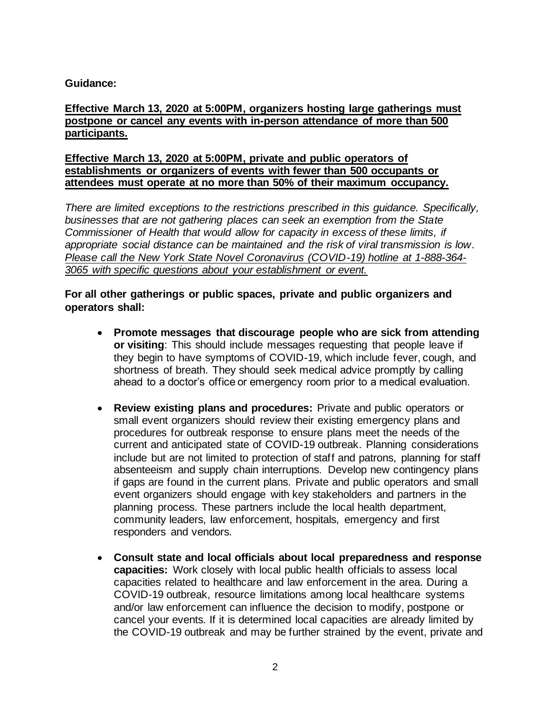## **Guidance:**

#### **Effective March 13, 2020 at 5:00PM, organizers hosting large gatherings must postpone or cancel any events with in-person attendance of more than 500 participants.**

#### **Effective March 13, 2020 at 5:00PM, private and public operators of establishments or organizers of events with fewer than 500 occupants or attendees must operate at no more than 50% of their maximum occupancy.**

*There are limited exceptions to the restrictions prescribed in this guidance. Specifically, businesses that are not gathering places can seek an exemption from the State Commissioner of Health that would allow for capacity in excess of these limits, if appropriate social distance can be maintained and the risk of viral transmission is low. Please call the New York State Novel Coronavirus (COVID-19) hotline at 1-888-364- 3065 with specific questions about your establishment or event.*

#### **For all other gatherings or public spaces, private and public organizers and operators shall:**

- **Promote messages that discourage people who are sick from attending or visiting**: This should include messages requesting that people leave if they begin to have symptoms of COVID-19, which include fever, cough, and shortness of breath. They should seek medical advice promptly by calling ahead to a doctor's office or emergency room prior to a medical evaluation.
- **Review existing plans and procedures:** Private and public operators or small event organizers should review their existing emergency plans and procedures for outbreak response to ensure plans meet the needs of the current and anticipated state of COVID-19 outbreak. Planning considerations include but are not limited to protection of staff and patrons, planning for staff absenteeism and supply chain interruptions. Develop new contingency plans if gaps are found in the current plans. Private and public operators and small event organizers should engage with key stakeholders and partners in the planning process. These partners include the local health department, community leaders, law enforcement, hospitals, emergency and first responders and vendors.
- **Consult state and local officials about local preparedness and response capacities:** Work closely with local public health officials to assess local capacities related to healthcare and law enforcement in the area. During a COVID-19 outbreak, resource limitations among local healthcare systems and/or law enforcement can influence the decision to modify, postpone or cancel your events. If it is determined local capacities are already limited by the COVID-19 outbreak and may be further strained by the event, private and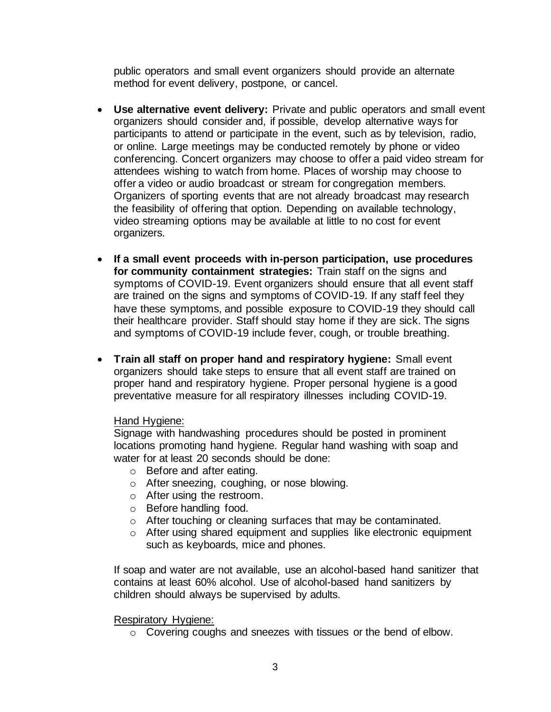public operators and small event organizers should provide an alternate method for event delivery, postpone, or cancel.

- **Use alternative event delivery:** Private and public operators and small event organizers should consider and, if possible, develop alternative ways for participants to attend or participate in the event, such as by television, radio, or online. Large meetings may be conducted remotely by phone or video conferencing. Concert organizers may choose to offer a paid video stream for attendees wishing to watch from home. Places of worship may choose to offer a video or audio broadcast or stream for congregation members. Organizers of sporting events that are not already broadcast may research the feasibility of offering that option. Depending on available technology, video streaming options may be available at little to no cost for event organizers.
- **If a small event proceeds with in-person participation, use procedures for community containment strategies:** Train staff on the signs and symptoms of COVID-19. Event organizers should ensure that all event staff are trained on the signs and symptoms of COVID-19. If any staff feel they have these symptoms, and possible exposure to COVID-19 they should call their healthcare provider. Staff should stay home if they are sick. The signs and symptoms of COVID-19 include fever, cough, or trouble breathing.
- **Train all staff on proper hand and respiratory hygiene:** Small event organizers should take steps to ensure that all event staff are trained on proper hand and respiratory hygiene. Proper personal hygiene is a good preventative measure for all respiratory illnesses including COVID-19.

#### Hand Hygiene:

Signage with handwashing procedures should be posted in prominent locations promoting hand hygiene. Regular hand washing with soap and water for at least 20 seconds should be done:

- o Before and after eating.
- o After sneezing, coughing, or nose blowing.
- o After using the restroom.
- o Before handling food.
- o After touching or cleaning surfaces that may be contaminated.
- o After using shared equipment and supplies like electronic equipment such as keyboards, mice and phones.

If soap and water are not available, use an alcohol-based hand sanitizer that contains at least 60% alcohol. Use of alcohol-based hand sanitizers by children should always be supervised by adults.

Respiratory Hygiene:

o Covering coughs and sneezes with tissues or the bend of elbow.